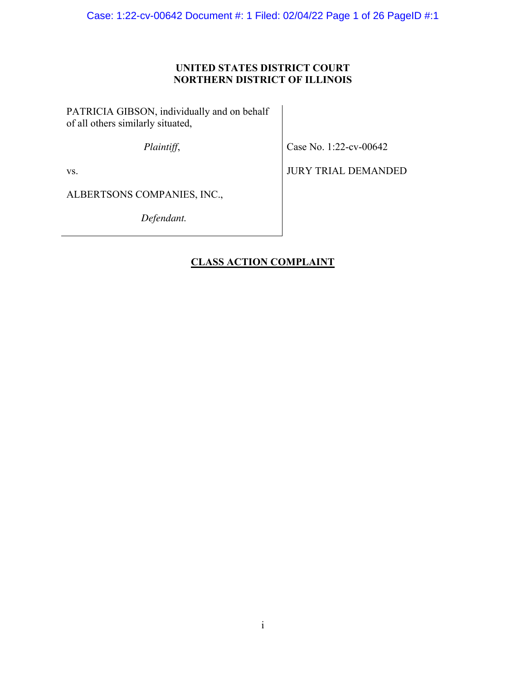Case: 1:22-cv-00642 Document #: 1 Filed: 02/04/22 Page 1 of 26 PageID #:1

## **UNITED STATES DISTRICT COURT NORTHERN DISTRICT OF ILLINOIS**

PATRICIA GIBSON, individually and on behalf of all others similarly situated,

*Plaintiff*,

Case No. 1:22-cv-00642

vs.

JURY TRIAL DEMANDED

ALBERTSONS COMPANIES, INC.,

*Defendant.* 

## **CLASS ACTION COMPLAINT**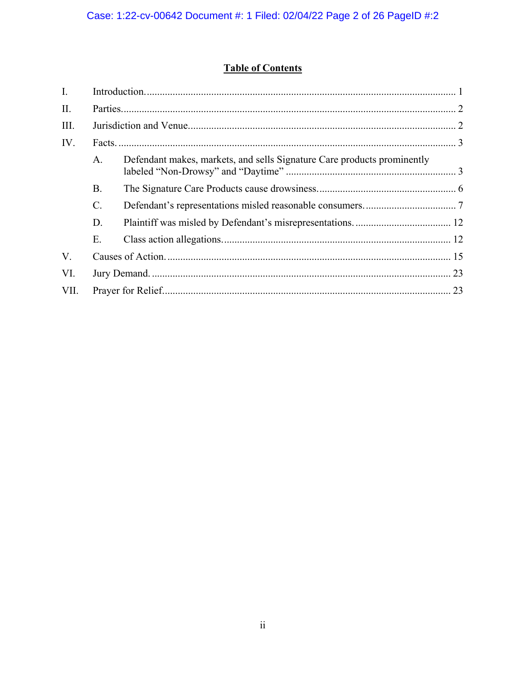# **Table of Contents**

| $\mathbf{I}$ . |                 |                                                                         |  |
|----------------|-----------------|-------------------------------------------------------------------------|--|
| II.            |                 |                                                                         |  |
| III.           |                 |                                                                         |  |
| IV.            |                 |                                                                         |  |
|                | A.              | Defendant makes, markets, and sells Signature Care products prominently |  |
|                | Β.              |                                                                         |  |
|                | $\mathcal{C}$ . |                                                                         |  |
|                | D.              |                                                                         |  |
|                | Ε.              |                                                                         |  |
| V.             |                 |                                                                         |  |
| VI.            |                 |                                                                         |  |
| VII.           |                 |                                                                         |  |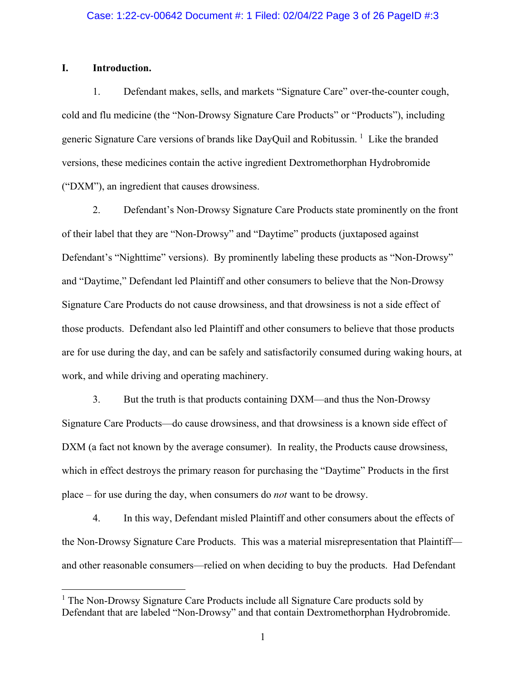## **I. Introduction.**

<u>.</u>

1. Defendant makes, sells, and markets "Signature Care" over-the-counter cough, cold and flu medicine (the "Non-Drowsy Signature Care Products" or "Products"), including generic Signature Care versions of brands like DayQuil and Robitussin. <sup>1</sup> Like the branded versions, these medicines contain the active ingredient Dextromethorphan Hydrobromide ("DXM"), an ingredient that causes drowsiness.

2. Defendant's Non-Drowsy Signature Care Products state prominently on the front of their label that they are "Non-Drowsy" and "Daytime" products (juxtaposed against Defendant's "Nighttime" versions). By prominently labeling these products as "Non-Drowsy" and "Daytime," Defendant led Plaintiff and other consumers to believe that the Non-Drowsy Signature Care Products do not cause drowsiness, and that drowsiness is not a side effect of those products. Defendant also led Plaintiff and other consumers to believe that those products are for use during the day, and can be safely and satisfactorily consumed during waking hours, at work, and while driving and operating machinery.

3. But the truth is that products containing DXM—and thus the Non-Drowsy Signature Care Products—do cause drowsiness, and that drowsiness is a known side effect of DXM (a fact not known by the average consumer). In reality, the Products cause drowsiness, which in effect destroys the primary reason for purchasing the "Daytime" Products in the first place – for use during the day, when consumers do *not* want to be drowsy.

4. In this way, Defendant misled Plaintiff and other consumers about the effects of the Non-Drowsy Signature Care Products. This was a material misrepresentation that Plaintiff and other reasonable consumers—relied on when deciding to buy the products. Had Defendant

<sup>&</sup>lt;sup>1</sup> The Non-Drowsy Signature Care Products include all Signature Care products sold by Defendant that are labeled "Non-Drowsy" and that contain Dextromethorphan Hydrobromide.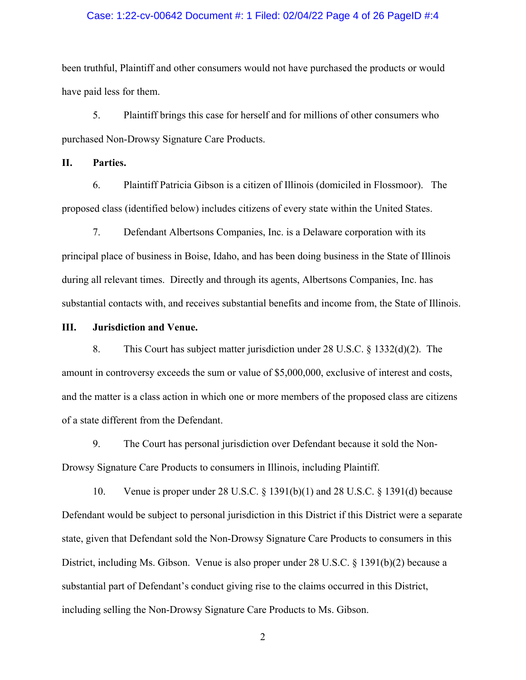#### Case: 1:22-cv-00642 Document #: 1 Filed: 02/04/22 Page 4 of 26 PageID #:4

been truthful, Plaintiff and other consumers would not have purchased the products or would have paid less for them.

5. Plaintiff brings this case for herself and for millions of other consumers who purchased Non-Drowsy Signature Care Products.

**II. Parties.** 

6. Plaintiff Patricia Gibson is a citizen of Illinois (domiciled in Flossmoor). The proposed class (identified below) includes citizens of every state within the United States.

7. Defendant Albertsons Companies, Inc. is a Delaware corporation with its principal place of business in Boise, Idaho, and has been doing business in the State of Illinois during all relevant times. Directly and through its agents, Albertsons Companies, Inc. has substantial contacts with, and receives substantial benefits and income from, the State of Illinois.

#### **III. Jurisdiction and Venue.**

8. This Court has subject matter jurisdiction under 28 U.S.C. § 1332(d)(2). The amount in controversy exceeds the sum or value of \$5,000,000, exclusive of interest and costs, and the matter is a class action in which one or more members of the proposed class are citizens of a state different from the Defendant.

9. The Court has personal jurisdiction over Defendant because it sold the Non-Drowsy Signature Care Products to consumers in Illinois, including Plaintiff.

10. Venue is proper under 28 U.S.C. § 1391(b)(1) and 28 U.S.C. § 1391(d) because Defendant would be subject to personal jurisdiction in this District if this District were a separate state, given that Defendant sold the Non-Drowsy Signature Care Products to consumers in this District, including Ms. Gibson. Venue is also proper under 28 U.S.C. § 1391(b)(2) because a substantial part of Defendant's conduct giving rise to the claims occurred in this District, including selling the Non-Drowsy Signature Care Products to Ms. Gibson.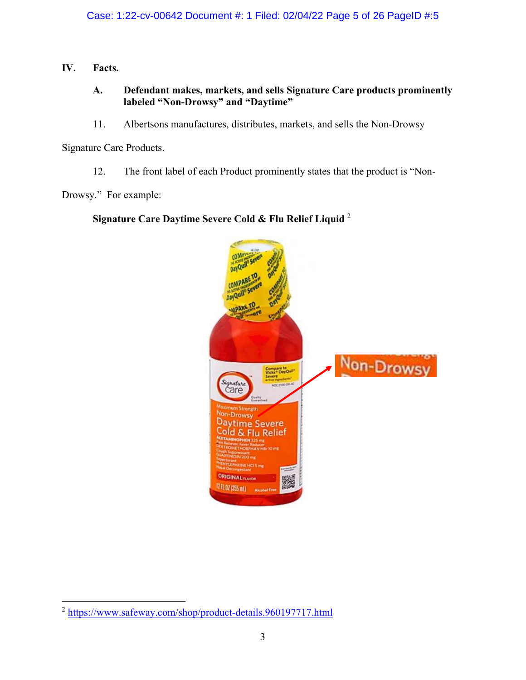**IV. Facts.** 

## **A. Defendant makes, markets, and sells Signature Care products prominently labeled "Non-Drowsy" and "Daytime"**

11. Albertsons manufactures, distributes, markets, and sells the Non-Drowsy

Signature Care Products.

12. The front label of each Product prominently states that the product is "Non-

Drowsy." For example:

## **Signature Care Daytime Severe Cold & Flu Relief Liquid** <sup>2</sup>



 $\overline{a}$ <sup>2</sup> https://www.safeway.com/shop/product-details.960197717.html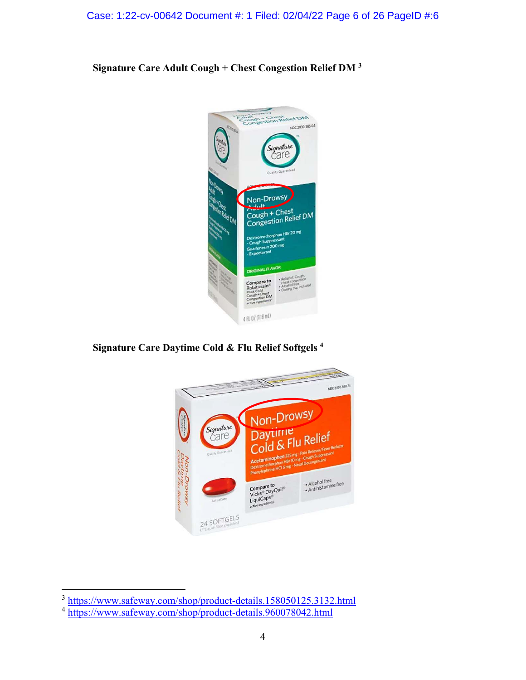Case: 1:22-cv-00642 Document #: 1 Filed: 02/04/22 Page 6 of 26 PageID #:6

**Signature Care Adult Cough + Chest Congestion Relief DM <sup>3</sup>**



**Signature Care Daytime Cold & Flu Relief Softgels <sup>4</sup>**



 $\overline{a}$ <sup>3</sup> https://www.safeway.com/shop/product-details.158050125.3132.html

<sup>4</sup> https://www.safeway.com/shop/product-details.960078042.html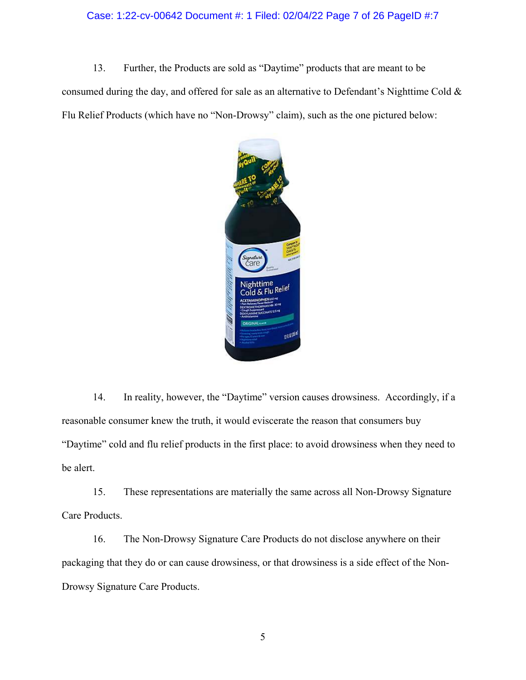#### Case: 1:22-cv-00642 Document #: 1 Filed: 02/04/22 Page 7 of 26 PageID #:7

13. Further, the Products are sold as "Daytime" products that are meant to be

consumed during the day, and offered for sale as an alternative to Defendant's Nighttime Cold & Flu Relief Products (which have no "Non-Drowsy" claim), such as the one pictured below:



14. In reality, however, the "Daytime" version causes drowsiness. Accordingly, if a reasonable consumer knew the truth, it would eviscerate the reason that consumers buy "Daytime" cold and flu relief products in the first place: to avoid drowsiness when they need to be alert.

15. These representations are materially the same across all Non-Drowsy Signature Care Products.

16. The Non-Drowsy Signature Care Products do not disclose anywhere on their packaging that they do or can cause drowsiness, or that drowsiness is a side effect of the Non-Drowsy Signature Care Products.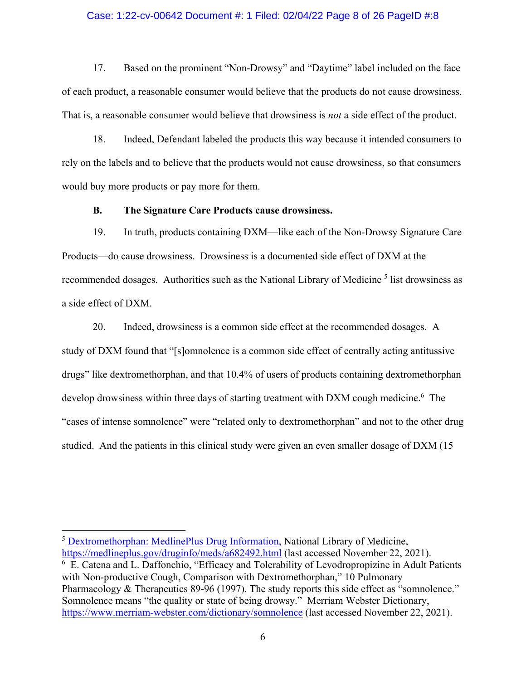#### Case: 1:22-cv-00642 Document #: 1 Filed: 02/04/22 Page 8 of 26 PageID #:8

17. Based on the prominent "Non-Drowsy" and "Daytime" label included on the face of each product, a reasonable consumer would believe that the products do not cause drowsiness. That is, a reasonable consumer would believe that drowsiness is *not* a side effect of the product.

18. Indeed, Defendant labeled the products this way because it intended consumers to rely on the labels and to believe that the products would not cause drowsiness, so that consumers would buy more products or pay more for them.

## **B. The Signature Care Products cause drowsiness.**

19. In truth, products containing DXM—like each of the Non-Drowsy Signature Care Products—do cause drowsiness. Drowsiness is a documented side effect of DXM at the recommended dosages. Authorities such as the National Library of Medicine<sup>5</sup> list drowsiness as a side effect of DXM.

20. Indeed, drowsiness is a common side effect at the recommended dosages. A study of DXM found that "[s]omnolence is a common side effect of centrally acting antitussive drugs" like dextromethorphan, and that 10.4% of users of products containing dextromethorphan develop drowsiness within three days of starting treatment with DXM cough medicine.<sup>6</sup> The "cases of intense somnolence" were "related only to dextromethorphan" and not to the other drug studied. And the patients in this clinical study were given an even smaller dosage of DXM (15

<u>.</u>

<sup>5</sup> Dextromethorphan: MedlinePlus Drug Information, National Library of Medicine, https://medlineplus.gov/druginfo/meds/a682492.html (last accessed November 22, 2021). <sup>6</sup> E. Catena and L. Daffonchio, "Efficacy and Tolerability of Levodropropizine in Adult Patients with Non-productive Cough, Comparison with Dextromethorphan," 10 Pulmonary Pharmacology & Therapeutics 89-96 (1997). The study reports this side effect as "somnolence." Somnolence means "the quality or state of being drowsy." Merriam Webster Dictionary, https://www.merriam-webster.com/dictionary/somnolence (last accessed November 22, 2021).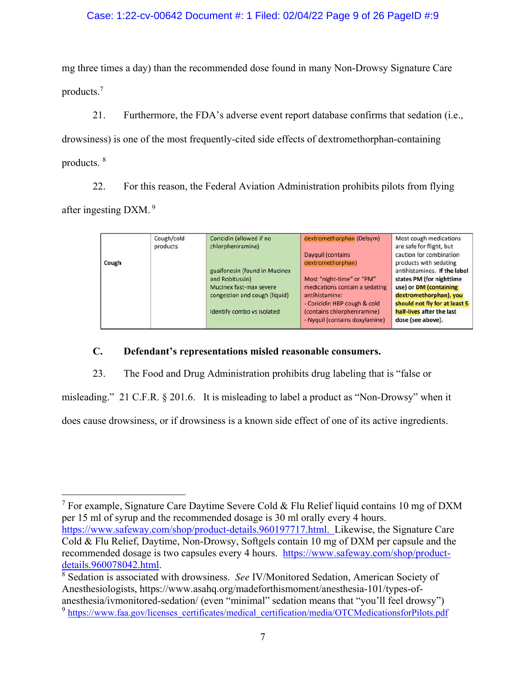## Case: 1:22-cv-00642 Document #: 1 Filed: 02/04/22 Page 9 of 26 PageID #:9

mg three times a day) than the recommended dose found in many Non-Drowsy Signature Care products.<sup>7</sup>

21. Furthermore, the FDA's adverse event report database confirms that sedation (i.e., drowsiness) is one of the most frequently-cited side effects of dextromethorphan-containing products. <sup>8</sup>

22. For this reason, the Federal Aviation Administration prohibits pilots from flying after ingesting DXM.<sup>9</sup>

| Cough | Cough/cold<br>products | Coricidin (allowed if no<br>chlorpheniramine)                                                                                              | dextromethorphan (Delsym)<br>Dayguil (contains<br>dextromethorphan)                                                                                                            | Most cough medications<br>are safe for flight, but<br>caution for combination<br>products with sedating                                                                                         |
|-------|------------------------|--------------------------------------------------------------------------------------------------------------------------------------------|--------------------------------------------------------------------------------------------------------------------------------------------------------------------------------|-------------------------------------------------------------------------------------------------------------------------------------------------------------------------------------------------|
|       |                        | guaifenesin (found in Mucinex<br>and Robitussin)<br>Mucinex fast-max severe<br>congestion and cough (liquid)<br>Identify combo vs isolated | Most "night-time" or "PM"<br>medications contain a sedating<br>antihistamine:<br>- Coricidin HBP cough & cold<br>(contains chlorpheniramine)<br>- Nyquil (contains doxylamine) | antihistamines. If the label<br>states PM (for nighttime<br>use) or DM (containing<br>dextromethorphan), you<br>should not fly for at least 5<br>half-lives after the last<br>dose (see above). |

## **C. Defendant's representations misled reasonable consumers.**

<u>.</u>

23. The Food and Drug Administration prohibits drug labeling that is "false or

misleading." 21 C.F.R. § 201.6. It is misleading to label a product as "Non-Drowsy" when it does cause drowsiness, or if drowsiness is a known side effect of one of its active ingredients.

<sup>&</sup>lt;sup>7</sup> For example, Signature Care Daytime Severe Cold & Flu Relief liquid contains 10 mg of DXM per 15 ml of syrup and the recommended dosage is 30 ml orally every 4 hours. https://www.safeway.com/shop/product-details.960197717.html. Likewise, the Signature Care Cold & Flu Relief, Daytime, Non-Drowsy, Softgels contain 10 mg of DXM per capsule and the recommended dosage is two capsules every 4 hours. https://www.safeway.com/shop/productdetails.960078042.html.

<sup>8</sup> Sedation is associated with drowsiness. *See* IV/Monitored Sedation, American Society of Anesthesiologists, https://www.asahq.org/madeforthismoment/anesthesia-101/types-ofanesthesia/ivmonitored-sedation/ (even "minimal" sedation means that "you'll feel drowsy")

<sup>&</sup>lt;sup>9</sup> https://www.faa.gov/licenses\_certificates/medical\_certification/media/OTCMedicationsforPilots.pdf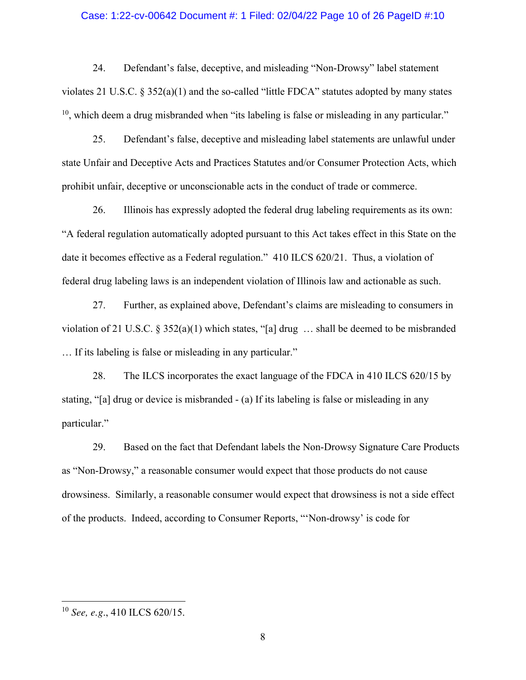#### Case: 1:22-cv-00642 Document #: 1 Filed: 02/04/22 Page 10 of 26 PageID #:10

24. Defendant's false, deceptive, and misleading "Non-Drowsy" label statement violates 21 U.S.C. § 352(a)(1) and the so-called "little FDCA" statutes adopted by many states  $10$ , which deem a drug misbranded when "its labeling is false or misleading in any particular."

25. Defendant's false, deceptive and misleading label statements are unlawful under state Unfair and Deceptive Acts and Practices Statutes and/or Consumer Protection Acts, which prohibit unfair, deceptive or unconscionable acts in the conduct of trade or commerce.

26. Illinois has expressly adopted the federal drug labeling requirements as its own: "A federal regulation automatically adopted pursuant to this Act takes effect in this State on the date it becomes effective as a Federal regulation." 410 ILCS 620/21. Thus, a violation of federal drug labeling laws is an independent violation of Illinois law and actionable as such.

27. Further, as explained above, Defendant's claims are misleading to consumers in violation of 21 U.S.C. § 352(a)(1) which states, "[a] drug … shall be deemed to be misbranded … If its labeling is false or misleading in any particular."

28. The ILCS incorporates the exact language of the FDCA in 410 ILCS 620/15 by stating, "[a] drug or device is misbranded - (a) If its labeling is false or misleading in any particular."

29. Based on the fact that Defendant labels the Non-Drowsy Signature Care Products as "Non-Drowsy," a reasonable consumer would expect that those products do not cause drowsiness. Similarly, a reasonable consumer would expect that drowsiness is not a side effect of the products. Indeed, according to Consumer Reports, "'Non-drowsy' is code for

 $\overline{a}$ 

<sup>10</sup> *See, e.g*., 410 ILCS 620/15.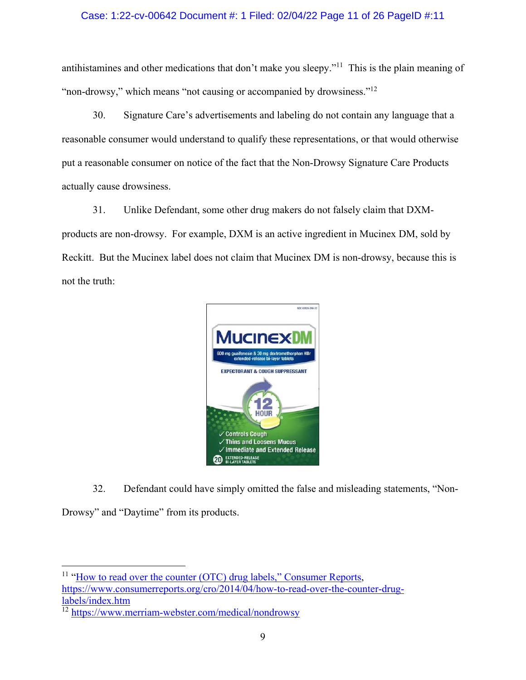## Case: 1:22-cv-00642 Document #: 1 Filed: 02/04/22 Page 11 of 26 PageID #:11

antihistamines and other medications that don't make you sleepy."<sup>11</sup> This is the plain meaning of "non-drowsy," which means "not causing or accompanied by drowsiness."<sup>12</sup>

30. Signature Care's advertisements and labeling do not contain any language that a reasonable consumer would understand to qualify these representations, or that would otherwise put a reasonable consumer on notice of the fact that the Non-Drowsy Signature Care Products actually cause drowsiness.

31. Unlike Defendant, some other drug makers do not falsely claim that DXMproducts are non-drowsy. For example, DXM is an active ingredient in Mucinex DM, sold by Reckitt. But the Mucinex label does not claim that Mucinex DM is non-drowsy, because this is not the truth:



32. Defendant could have simply omitted the false and misleading statements, "Non-

Drowsy" and "Daytime" from its products.

 $\overline{a}$ <sup>11</sup> "How to read over the counter (OTC) drug labels," Consumer Reports, https://www.consumerreports.org/cro/2014/04/how-to-read-over-the-counter-druglabels/index.htm

<sup>12</sup> https://www.merriam-webster.com/medical/nondrowsy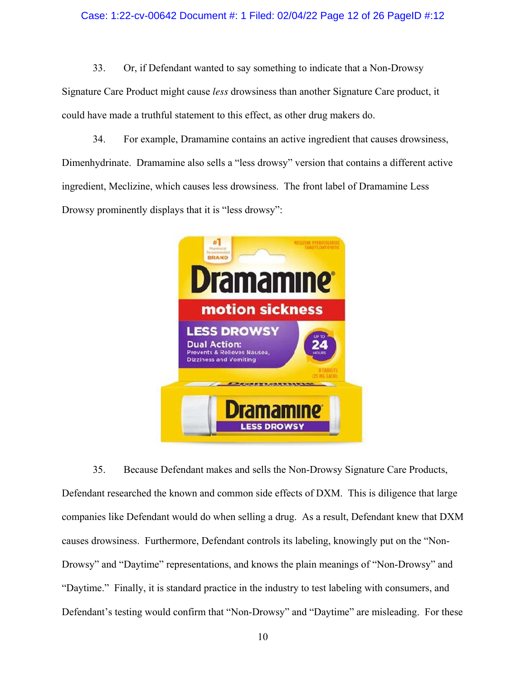### Case: 1:22-cv-00642 Document #: 1 Filed: 02/04/22 Page 12 of 26 PageID #:12

33. Or, if Defendant wanted to say something to indicate that a Non-Drowsy

Signature Care Product might cause *less* drowsiness than another Signature Care product, it could have made a truthful statement to this effect, as other drug makers do.

34. For example, Dramamine contains an active ingredient that causes drowsiness, Dimenhydrinate. Dramamine also sells a "less drowsy" version that contains a different active ingredient, Meclizine, which causes less drowsiness. The front label of Dramamine Less Drowsy prominently displays that it is "less drowsy":



35. Because Defendant makes and sells the Non-Drowsy Signature Care Products, Defendant researched the known and common side effects of DXM. This is diligence that large companies like Defendant would do when selling a drug. As a result, Defendant knew that DXM causes drowsiness. Furthermore, Defendant controls its labeling, knowingly put on the "Non-Drowsy" and "Daytime" representations, and knows the plain meanings of "Non-Drowsy" and "Daytime." Finally, it is standard practice in the industry to test labeling with consumers, and Defendant's testing would confirm that "Non-Drowsy" and "Daytime" are misleading. For these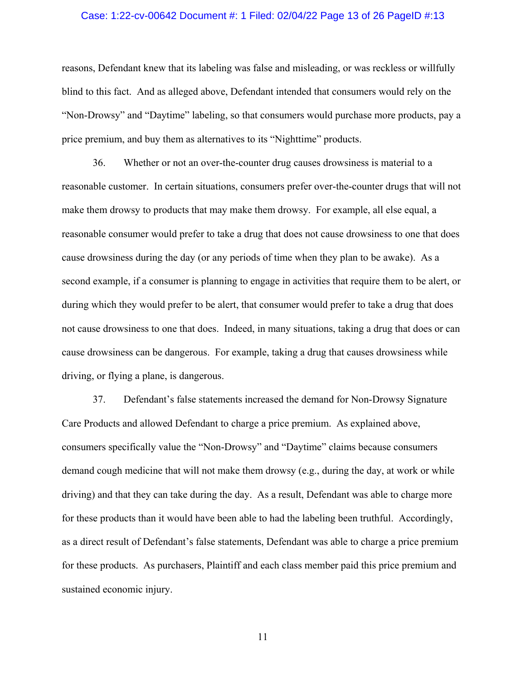#### Case: 1:22-cv-00642 Document #: 1 Filed: 02/04/22 Page 13 of 26 PageID #:13

reasons, Defendant knew that its labeling was false and misleading, or was reckless or willfully blind to this fact. And as alleged above, Defendant intended that consumers would rely on the "Non-Drowsy" and "Daytime" labeling, so that consumers would purchase more products, pay a price premium, and buy them as alternatives to its "Nighttime" products.

36. Whether or not an over-the-counter drug causes drowsiness is material to a reasonable customer. In certain situations, consumers prefer over-the-counter drugs that will not make them drowsy to products that may make them drowsy. For example, all else equal, a reasonable consumer would prefer to take a drug that does not cause drowsiness to one that does cause drowsiness during the day (or any periods of time when they plan to be awake). As a second example, if a consumer is planning to engage in activities that require them to be alert, or during which they would prefer to be alert, that consumer would prefer to take a drug that does not cause drowsiness to one that does. Indeed, in many situations, taking a drug that does or can cause drowsiness can be dangerous. For example, taking a drug that causes drowsiness while driving, or flying a plane, is dangerous.

37. Defendant's false statements increased the demand for Non-Drowsy Signature Care Products and allowed Defendant to charge a price premium. As explained above, consumers specifically value the "Non-Drowsy" and "Daytime" claims because consumers demand cough medicine that will not make them drowsy (e.g., during the day, at work or while driving) and that they can take during the day. As a result, Defendant was able to charge more for these products than it would have been able to had the labeling been truthful. Accordingly, as a direct result of Defendant's false statements, Defendant was able to charge a price premium for these products. As purchasers, Plaintiff and each class member paid this price premium and sustained economic injury.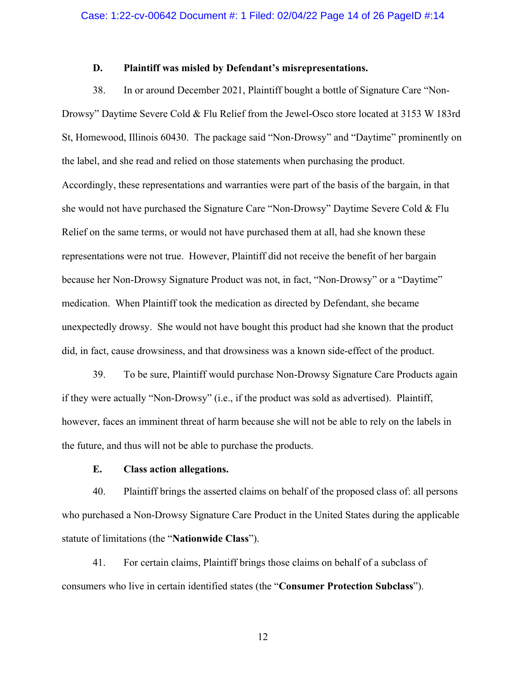## **D. Plaintiff was misled by Defendant's misrepresentations.**

38. In or around December 2021, Plaintiff bought a bottle of Signature Care "Non-Drowsy" Daytime Severe Cold & Flu Relief from the Jewel-Osco store located at 3153 W 183rd St, Homewood, Illinois 60430. The package said "Non-Drowsy" and "Daytime" prominently on the label, and she read and relied on those statements when purchasing the product. Accordingly, these representations and warranties were part of the basis of the bargain, in that she would not have purchased the Signature Care "Non-Drowsy" Daytime Severe Cold & Flu Relief on the same terms, or would not have purchased them at all, had she known these representations were not true. However, Plaintiff did not receive the benefit of her bargain because her Non-Drowsy Signature Product was not, in fact, "Non-Drowsy" or a "Daytime" medication. When Plaintiff took the medication as directed by Defendant, she became unexpectedly drowsy. She would not have bought this product had she known that the product did, in fact, cause drowsiness, and that drowsiness was a known side-effect of the product.

39. To be sure, Plaintiff would purchase Non-Drowsy Signature Care Products again if they were actually "Non-Drowsy" (i.e., if the product was sold as advertised). Plaintiff, however, faces an imminent threat of harm because she will not be able to rely on the labels in the future, and thus will not be able to purchase the products.

## **E. Class action allegations.**

40. Plaintiff brings the asserted claims on behalf of the proposed class of: all persons who purchased a Non-Drowsy Signature Care Product in the United States during the applicable statute of limitations (the "**Nationwide Class**").

41. For certain claims, Plaintiff brings those claims on behalf of a subclass of consumers who live in certain identified states (the "**Consumer Protection Subclass**").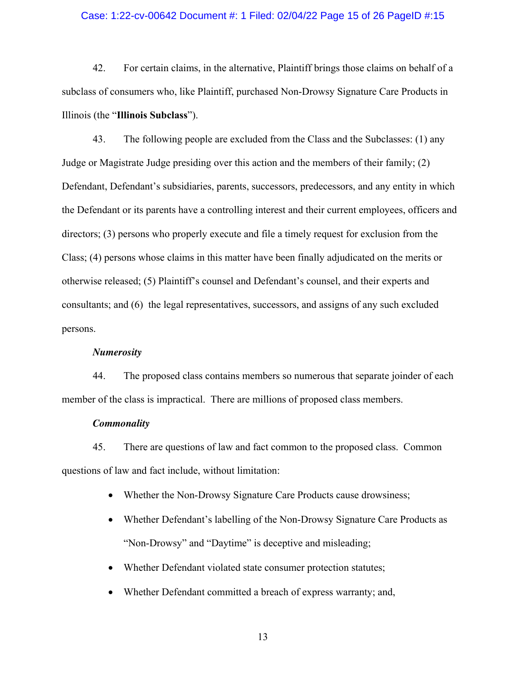#### Case: 1:22-cv-00642 Document #: 1 Filed: 02/04/22 Page 15 of 26 PageID #:15

42. For certain claims, in the alternative, Plaintiff brings those claims on behalf of a subclass of consumers who, like Plaintiff, purchased Non-Drowsy Signature Care Products in Illinois (the "**Illinois Subclass**").

43. The following people are excluded from the Class and the Subclasses: (1) any Judge or Magistrate Judge presiding over this action and the members of their family; (2) Defendant, Defendant's subsidiaries, parents, successors, predecessors, and any entity in which the Defendant or its parents have a controlling interest and their current employees, officers and directors; (3) persons who properly execute and file a timely request for exclusion from the Class; (4) persons whose claims in this matter have been finally adjudicated on the merits or otherwise released; (5) Plaintiff's counsel and Defendant's counsel, and their experts and consultants; and (6) the legal representatives, successors, and assigns of any such excluded persons.

#### *Numerosity*

44. The proposed class contains members so numerous that separate joinder of each member of the class is impractical. There are millions of proposed class members.

#### *Commonality*

45. There are questions of law and fact common to the proposed class. Common questions of law and fact include, without limitation:

- Whether the Non-Drowsy Signature Care Products cause drowsiness;
- Whether Defendant's labelling of the Non-Drowsy Signature Care Products as "Non-Drowsy" and "Daytime" is deceptive and misleading;
- Whether Defendant violated state consumer protection statutes;
- Whether Defendant committed a breach of express warranty; and,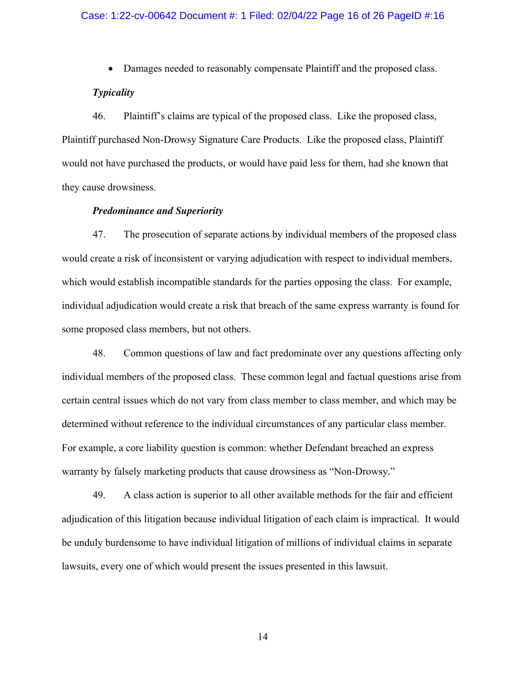#### Case: 1:22-cv-00642 Document #: 1 Filed: 02/04/22 Page 16 of 26 PageID #:16

Damages needed to reasonably compensate Plaintiff and the proposed class.

#### *Typicality*

46. Plaintiff's claims are typical of the proposed class. Like the proposed class, Plaintiff purchased Non-Drowsy Signature Care Products. Like the proposed class, Plaintiff would not have purchased the products, or would have paid less for them, had she known that they cause drowsiness.

#### *Predominance and Superiority*

47. The prosecution of separate actions by individual members of the proposed class would create a risk of inconsistent or varying adjudication with respect to individual members, which would establish incompatible standards for the parties opposing the class. For example, individual adjudication would create a risk that breach of the same express warranty is found for some proposed class members, but not others.

48. Common questions of law and fact predominate over any questions affecting only individual members of the proposed class. These common legal and factual questions arise from certain central issues which do not vary from class member to class member, and which may be determined without reference to the individual circumstances of any particular class member. For example, a core liability question is common: whether Defendant breached an express warranty by falsely marketing products that cause drowsiness as "Non-Drowsy."

49. A class action is superior to all other available methods for the fair and efficient adjudication of this litigation because individual litigation of each claim is impractical. It would be unduly burdensome to have individual litigation of millions of individual claims in separate lawsuits, every one of which would present the issues presented in this lawsuit.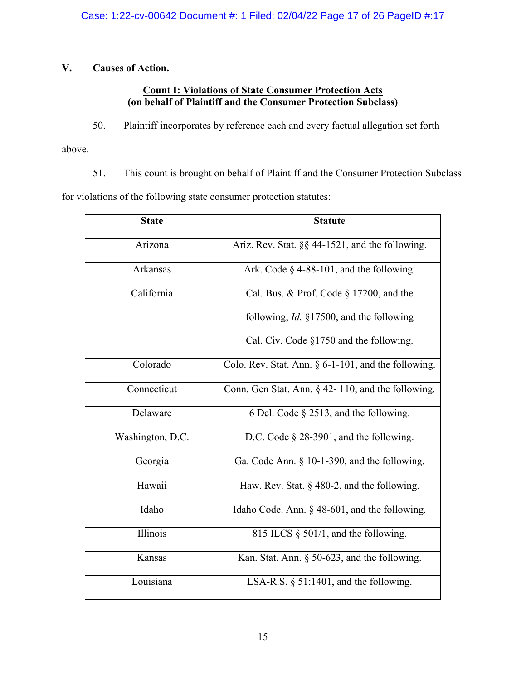## **V. Causes of Action.**

## **Count I: Violations of State Consumer Protection Acts (on behalf of Plaintiff and the Consumer Protection Subclass)**

50. Plaintiff incorporates by reference each and every factual allegation set forth

above.

51. This count is brought on behalf of Plaintiff and the Consumer Protection Subclass

for violations of the following state consumer protection statutes:

| <b>State</b>     | <b>Statute</b>                                          |
|------------------|---------------------------------------------------------|
| Arizona          | Ariz. Rev. Stat. §§ 44-1521, and the following.         |
| Arkansas         | Ark. Code $\S$ 4-88-101, and the following.             |
| California       | Cal. Bus. & Prof. Code § 17200, and the                 |
|                  | following; <i>Id.</i> §17500, and the following         |
|                  | Cal. Civ. Code $\S1750$ and the following.              |
| Colorado         | Colo. Rev. Stat. Ann. $\S 6$ -1-101, and the following. |
| Connecticut      | Conn. Gen Stat. Ann. $\S$ 42-110, and the following.    |
| Delaware         | 6 Del. Code § 2513, and the following.                  |
| Washington, D.C. | D.C. Code $\S$ 28-3901, and the following.              |
| Georgia          | Ga. Code Ann. $\S$ 10-1-390, and the following.         |
| Hawaii           | Haw. Rev. Stat. $\S$ 480-2, and the following.          |
| Idaho            | Idaho Code. Ann. § 48-601, and the following.           |
| Illinois         | 815 ILCS $\S$ 501/1, and the following.                 |
| Kansas           | Kan. Stat. Ann. $\S$ 50-623, and the following.         |
| Louisiana        | LSA-R.S. $\S$ 51:1401, and the following.               |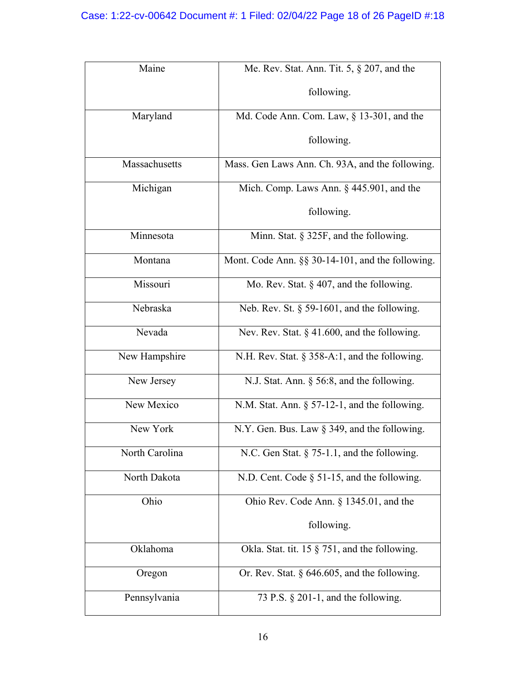| Maine          | Me. Rev. Stat. Ann. Tit. 5, § 207, and the           |
|----------------|------------------------------------------------------|
|                | following.                                           |
| Maryland       | Md. Code Ann. Com. Law, $\S$ 13-301, and the         |
|                | following.                                           |
| Massachusetts  | Mass. Gen Laws Ann. Ch. 93A, and the following.      |
| Michigan       | Mich. Comp. Laws Ann. $\S$ 445.901, and the          |
|                | following.                                           |
| Minnesota      | Minn. Stat. § 325F, and the following.               |
| Montana        | Mont. Code Ann. $\S$ § 30-14-101, and the following. |
| Missouri       | Mo. Rev. Stat. $\S$ 407, and the following.          |
| Nebraska       | Neb. Rev. St. $\S$ 59-1601, and the following.       |
| Nevada         | Nev. Rev. Stat. § 41.600, and the following.         |
| New Hampshire  | N.H. Rev. Stat. $\S 358-A:1$ , and the following.    |
| New Jersey     | N.J. Stat. Ann. § 56:8, and the following.           |
| New Mexico     | N.M. Stat. Ann. $\S$ 57-12-1, and the following.     |
| New York       | N.Y. Gen. Bus. Law $\S$ 349, and the following.      |
| North Carolina | N.C. Gen Stat. $\S$ 75-1.1, and the following.       |
| North Dakota   | N.D. Cent. Code $\S$ 51-15, and the following.       |
| Ohio           | Ohio Rev. Code Ann. § 1345.01, and the               |
|                | following.                                           |
| Oklahoma       | Okla. Stat. tit. 15 $\S$ 751, and the following.     |
| Oregon         | Or. Rev. Stat. $\S$ 646.605, and the following.      |
| Pennsylvania   | 73 P.S. $\S$ 201-1, and the following.               |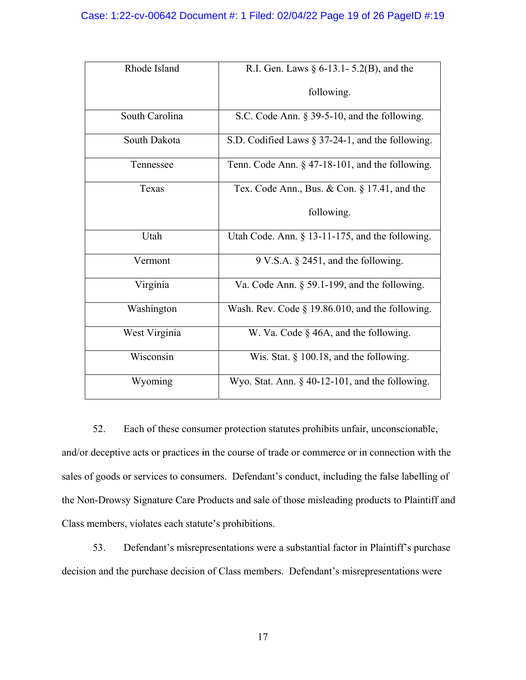## Case: 1:22-cv-00642 Document #: 1 Filed: 02/04/22 Page 19 of 26 PageID #:19

| Rhode Island   | R.I. Gen. Laws $\S 6$ -13.1 - 5.2(B), and the      |
|----------------|----------------------------------------------------|
|                | following.                                         |
| South Carolina | S.C. Code Ann. $\S$ 39-5-10, and the following.    |
| South Dakota   | S.D. Codified Laws § 37-24-1, and the following.   |
| Tennessee      | Tenn. Code Ann. $\S$ 47-18-101, and the following. |
| Texas          | Tex. Code Ann., Bus. & Con. $\S 17.41$ , and the   |
|                | following.                                         |
| Utah           | Utah Code. Ann. $\S$ 13-11-175, and the following. |
| Vermont        | $9$ V.S.A. $\S$ 2451, and the following.           |
| Virginia       | Va. Code Ann. § 59.1-199, and the following.       |
| Washington     | Wash. Rev. Code $\S$ 19.86.010, and the following. |
| West Virginia  | W. Va. Code § 46A, and the following.              |
| Wisconsin      | Wis. Stat. $\S$ 100.18, and the following.         |
| Wyoming        | Wyo. Stat. Ann. $\S$ 40-12-101, and the following. |

52. Each of these consumer protection statutes prohibits unfair, unconscionable, and/or deceptive acts or practices in the course of trade or commerce or in connection with the sales of goods or services to consumers. Defendant's conduct, including the false labelling of the Non-Drowsy Signature Care Products and sale of those misleading products to Plaintiff and Class members, violates each statute's prohibitions.

53. Defendant's misrepresentations were a substantial factor in Plaintiff's purchase decision and the purchase decision of Class members. Defendant's misrepresentations were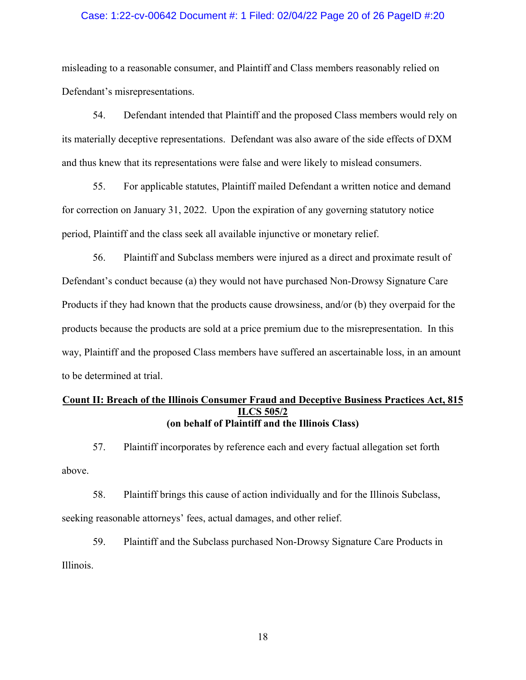#### Case: 1:22-cv-00642 Document #: 1 Filed: 02/04/22 Page 20 of 26 PageID #:20

misleading to a reasonable consumer, and Plaintiff and Class members reasonably relied on Defendant's misrepresentations.

54. Defendant intended that Plaintiff and the proposed Class members would rely on its materially deceptive representations. Defendant was also aware of the side effects of DXM and thus knew that its representations were false and were likely to mislead consumers.

55. For applicable statutes, Plaintiff mailed Defendant a written notice and demand for correction on January 31, 2022. Upon the expiration of any governing statutory notice period, Plaintiff and the class seek all available injunctive or monetary relief.

56. Plaintiff and Subclass members were injured as a direct and proximate result of Defendant's conduct because (a) they would not have purchased Non-Drowsy Signature Care Products if they had known that the products cause drowsiness, and/or (b) they overpaid for the products because the products are sold at a price premium due to the misrepresentation. In this way, Plaintiff and the proposed Class members have suffered an ascertainable loss, in an amount to be determined at trial.

## **Count II: Breach of the Illinois Consumer Fraud and Deceptive Business Practices Act, 815 ILCS 505/2 (on behalf of Plaintiff and the Illinois Class)**

57. Plaintiff incorporates by reference each and every factual allegation set forth above.

58. Plaintiff brings this cause of action individually and for the Illinois Subclass, seeking reasonable attorneys' fees, actual damages, and other relief.

59. Plaintiff and the Subclass purchased Non-Drowsy Signature Care Products in Illinois.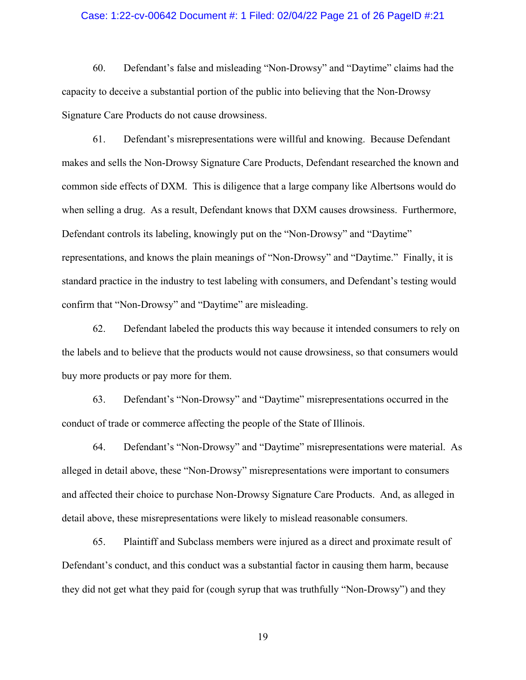#### Case: 1:22-cv-00642 Document #: 1 Filed: 02/04/22 Page 21 of 26 PageID #:21

60. Defendant's false and misleading "Non-Drowsy" and "Daytime" claims had the capacity to deceive a substantial portion of the public into believing that the Non-Drowsy Signature Care Products do not cause drowsiness.

61. Defendant's misrepresentations were willful and knowing. Because Defendant makes and sells the Non-Drowsy Signature Care Products, Defendant researched the known and common side effects of DXM. This is diligence that a large company like Albertsons would do when selling a drug. As a result, Defendant knows that DXM causes drowsiness. Furthermore, Defendant controls its labeling, knowingly put on the "Non-Drowsy" and "Daytime" representations, and knows the plain meanings of "Non-Drowsy" and "Daytime." Finally, it is standard practice in the industry to test labeling with consumers, and Defendant's testing would confirm that "Non-Drowsy" and "Daytime" are misleading.

62. Defendant labeled the products this way because it intended consumers to rely on the labels and to believe that the products would not cause drowsiness, so that consumers would buy more products or pay more for them.

63. Defendant's "Non-Drowsy" and "Daytime" misrepresentations occurred in the conduct of trade or commerce affecting the people of the State of Illinois.

64. Defendant's "Non-Drowsy" and "Daytime" misrepresentations were material. As alleged in detail above, these "Non-Drowsy" misrepresentations were important to consumers and affected their choice to purchase Non-Drowsy Signature Care Products. And, as alleged in detail above, these misrepresentations were likely to mislead reasonable consumers.

65. Plaintiff and Subclass members were injured as a direct and proximate result of Defendant's conduct, and this conduct was a substantial factor in causing them harm, because they did not get what they paid for (cough syrup that was truthfully "Non-Drowsy") and they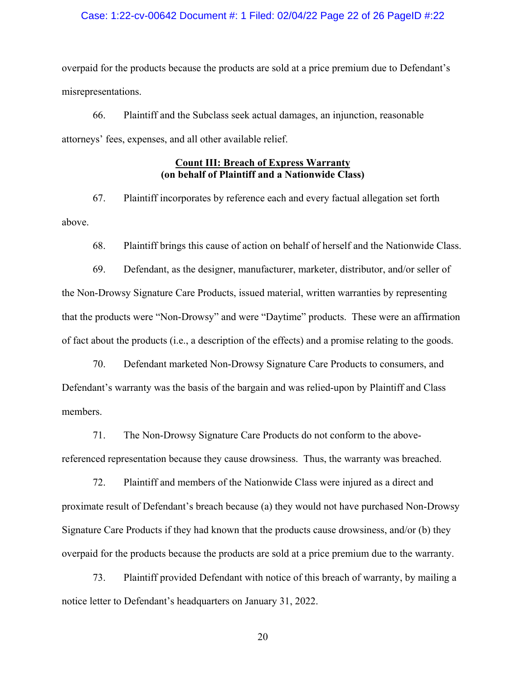#### Case: 1:22-cv-00642 Document #: 1 Filed: 02/04/22 Page 22 of 26 PageID #:22

overpaid for the products because the products are sold at a price premium due to Defendant's misrepresentations.

66. Plaintiff and the Subclass seek actual damages, an injunction, reasonable attorneys' fees, expenses, and all other available relief.

## **Count III: Breach of Express Warranty (on behalf of Plaintiff and a Nationwide Class)**

67. Plaintiff incorporates by reference each and every factual allegation set forth above.

68. Plaintiff brings this cause of action on behalf of herself and the Nationwide Class.

69. Defendant, as the designer, manufacturer, marketer, distributor, and/or seller of the Non-Drowsy Signature Care Products, issued material, written warranties by representing that the products were "Non-Drowsy" and were "Daytime" products. These were an affirmation of fact about the products (i.e., a description of the effects) and a promise relating to the goods.

70. Defendant marketed Non-Drowsy Signature Care Products to consumers, and Defendant's warranty was the basis of the bargain and was relied-upon by Plaintiff and Class members.

71. The Non-Drowsy Signature Care Products do not conform to the abovereferenced representation because they cause drowsiness. Thus, the warranty was breached.

72. Plaintiff and members of the Nationwide Class were injured as a direct and proximate result of Defendant's breach because (a) they would not have purchased Non-Drowsy Signature Care Products if they had known that the products cause drowsiness, and/or (b) they overpaid for the products because the products are sold at a price premium due to the warranty.

73. Plaintiff provided Defendant with notice of this breach of warranty, by mailing a notice letter to Defendant's headquarters on January 31, 2022.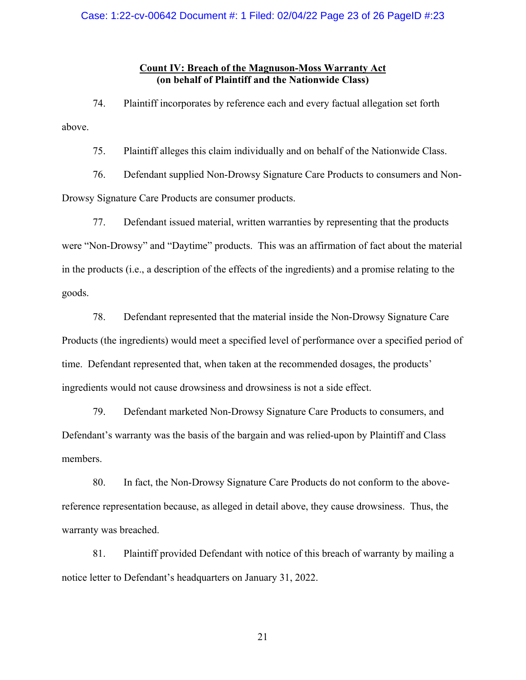## **Count IV: Breach of the Magnuson-Moss Warranty Act (on behalf of Plaintiff and the Nationwide Class)**

74. Plaintiff incorporates by reference each and every factual allegation set forth above.

75. Plaintiff alleges this claim individually and on behalf of the Nationwide Class.

76. Defendant supplied Non-Drowsy Signature Care Products to consumers and Non-Drowsy Signature Care Products are consumer products.

77. Defendant issued material, written warranties by representing that the products were "Non-Drowsy" and "Daytime" products. This was an affirmation of fact about the material in the products (i.e., a description of the effects of the ingredients) and a promise relating to the goods.

78. Defendant represented that the material inside the Non-Drowsy Signature Care Products (the ingredients) would meet a specified level of performance over a specified period of time. Defendant represented that, when taken at the recommended dosages, the products' ingredients would not cause drowsiness and drowsiness is not a side effect.

79. Defendant marketed Non-Drowsy Signature Care Products to consumers, and Defendant's warranty was the basis of the bargain and was relied-upon by Plaintiff and Class members.

80. In fact, the Non-Drowsy Signature Care Products do not conform to the abovereference representation because, as alleged in detail above, they cause drowsiness. Thus, the warranty was breached.

81. Plaintiff provided Defendant with notice of this breach of warranty by mailing a notice letter to Defendant's headquarters on January 31, 2022.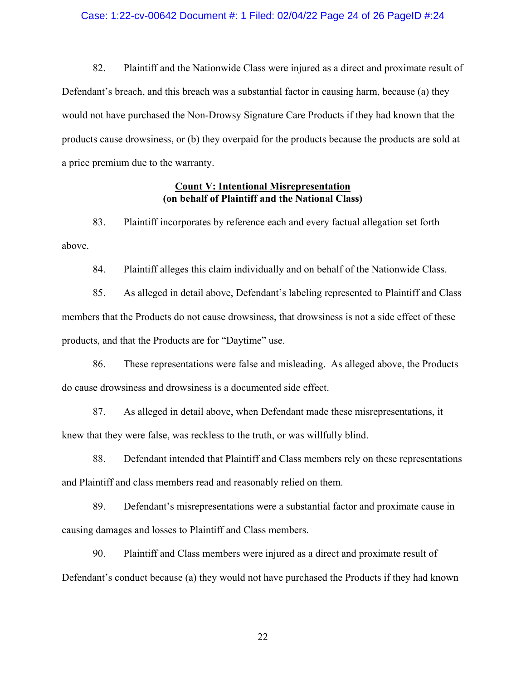#### Case: 1:22-cv-00642 Document #: 1 Filed: 02/04/22 Page 24 of 26 PageID #:24

82. Plaintiff and the Nationwide Class were injured as a direct and proximate result of Defendant's breach, and this breach was a substantial factor in causing harm, because (a) they would not have purchased the Non-Drowsy Signature Care Products if they had known that the products cause drowsiness, or (b) they overpaid for the products because the products are sold at a price premium due to the warranty.

### **Count V: Intentional Misrepresentation (on behalf of Plaintiff and the National Class)**

83. Plaintiff incorporates by reference each and every factual allegation set forth above.

84. Plaintiff alleges this claim individually and on behalf of the Nationwide Class.

85. As alleged in detail above, Defendant's labeling represented to Plaintiff and Class members that the Products do not cause drowsiness, that drowsiness is not a side effect of these products, and that the Products are for "Daytime" use.

86. These representations were false and misleading. As alleged above, the Products do cause drowsiness and drowsiness is a documented side effect.

87. As alleged in detail above, when Defendant made these misrepresentations, it knew that they were false, was reckless to the truth, or was willfully blind.

88. Defendant intended that Plaintiff and Class members rely on these representations and Plaintiff and class members read and reasonably relied on them.

89. Defendant's misrepresentations were a substantial factor and proximate cause in causing damages and losses to Plaintiff and Class members.

90. Plaintiff and Class members were injured as a direct and proximate result of Defendant's conduct because (a) they would not have purchased the Products if they had known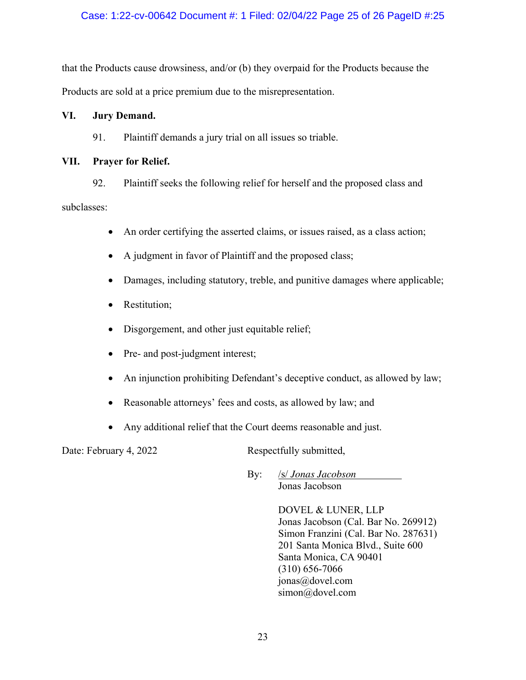## Case: 1:22-cv-00642 Document #: 1 Filed: 02/04/22 Page 25 of 26 PageID #:25

that the Products cause drowsiness, and/or (b) they overpaid for the Products because the Products are sold at a price premium due to the misrepresentation.

## **VI. Jury Demand.**

## 91. Plaintiff demands a jury trial on all issues so triable.

## **VII. Prayer for Relief.**

92. Plaintiff seeks the following relief for herself and the proposed class and subclasses:

- An order certifying the asserted claims, or issues raised, as a class action;
- A judgment in favor of Plaintiff and the proposed class;
- Damages, including statutory, treble, and punitive damages where applicable;
- Restitution;
- Disgorgement, and other just equitable relief;
- Pre- and post-judgment interest;
- An injunction prohibiting Defendant's deceptive conduct, as allowed by law;
- Reasonable attorneys' fees and costs, as allowed by law; and
- Any additional relief that the Court deems reasonable and just.

Date: February 4, 2022 Respectfully submitted,

By: **/s/** *Jonas Jacobson* Jonas Jacobson

> DOVEL & LUNER, LLP Jonas Jacobson (Cal. Bar No. 269912) Simon Franzini (Cal. Bar No. 287631) 201 Santa Monica Blvd., Suite 600 Santa Monica, CA 90401 (310) 656-7066 jonas@dovel.com simon@dovel.com